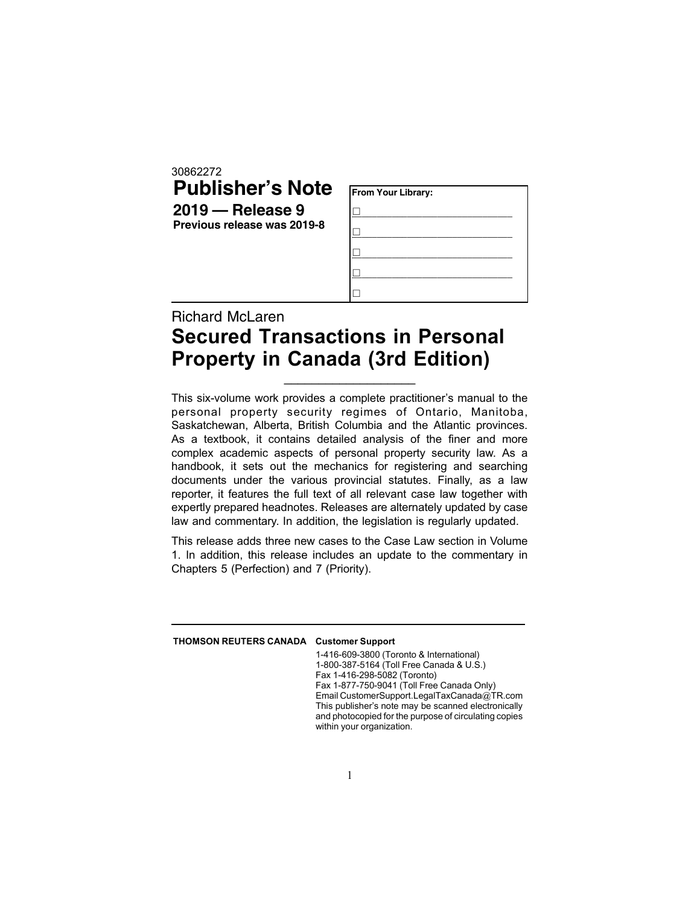30862272

## **Publisher's Note 2019 — Release 9 Previous release was 2019-8**

| From Your Library: |  |  |
|--------------------|--|--|
|                    |  |  |
|                    |  |  |
|                    |  |  |
|                    |  |  |
|                    |  |  |

## Richard McLaren Secured Transactions in Personal Property in Canada (3rd Edition)

This six-volume work provides a complete practitioner's manual to the personal property security regimes of Ontario, Manitoba, Saskatchewan, Alberta, British Columbia and the Atlantic provinces. As a textbook, it contains detailed analysis of the finer and more complex academic aspects of personal property security law. As a handbook, it sets out the mechanics for registering and searching documents under the various provincial statutes. Finally, as a law reporter, it features the full text of all relevant case law together with expertly prepared headnotes. Releases are alternately updated by case law and commentary. In addition, the legislation is regularly updated.

\_\_\_\_\_\_\_\_\_\_\_\_\_\_\_\_\_\_\_

This release adds three new cases to the Case Law section in Volume 1. In addition, this release includes an update to the commentary in Chapters 5 (Perfection) and 7 (Priority).

## THOMSON REUTERS CANADA Customer Support

1-416-609-3800 (Toronto & International) 1-800-387-5164 (Toll Free Canada & U.S.) Fax 1-416-298-5082 (Toronto) Fax 1-877-750-9041 (Toll Free Canada Only) Email CustomerSupport.LegalTaxCanada@TR.com This publisher's note may be scanned electronically and photocopied for the purpose of circulating copies within your organization.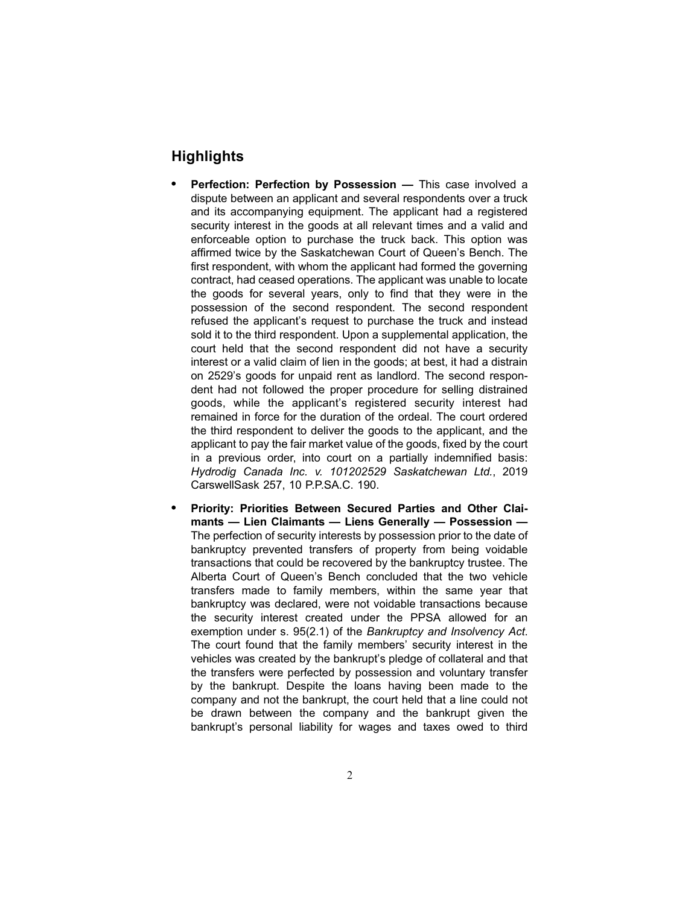## **Highlights**

- . **Perfection: Perfection by Possession —** This case involved a dispute between an applicant and several respondents over a truck and its accompanying equipment. The applicant had a registered security interest in the goods at all relevant times and a valid and enforceable option to purchase the truck back. This option was affirmed twice by the Saskatchewan Court of Queen's Bench. The first respondent, with whom the applicant had formed the governing contract, had ceased operations. The applicant was unable to locate the goods for several years, only to find that they were in the possession of the second respondent. The second respondent refused the applicant's request to purchase the truck and instead sold it to the third respondent. Upon a supplemental application, the court held that the second respondent did not have a security interest or a valid claim of lien in the goods; at best, it had a distrain on 2529's goods for unpaid rent as landlord. The second respondent had not followed the proper procedure for selling distrained goods, while the applicant's registered security interest had remained in force for the duration of the ordeal. The court ordered the third respondent to deliver the goods to the applicant, and the applicant to pay the fair market value of the goods, fixed by the court in a previous order, into court on a partially indemnified basis: *Hydrodig Canada Inc. v. 101202529 Saskatchewan Ltd.*, 2019 CarswellSask 257, 10 P.P.SA.C. 190.
- . **Priority: Priorities Between Secured Parties and Other Claimants — Lien Claimants — Liens Generally — Possession —** The perfection of security interests by possession prior to the date of bankruptcy prevented transfers of property from being voidable transactions that could be recovered by the bankruptcy trustee. The Alberta Court of Queen's Bench concluded that the two vehicle transfers made to family members, within the same year that bankruptcy was declared, were not voidable transactions because the security interest created under the PPSA allowed for an exemption under s. 95(2.1) of the *Bankruptcy and Insolvency Act*. The court found that the family members' security interest in the vehicles was created by the bankrupt's pledge of collateral and that the transfers were perfected by possession and voluntary transfer by the bankrupt. Despite the loans having been made to the company and not the bankrupt, the court held that a line could not be drawn between the company and the bankrupt given the bankrupt's personal liability for wages and taxes owed to third